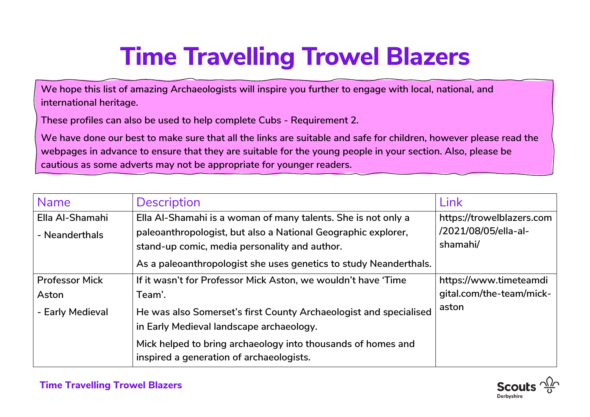## **Time Travelling Trowel Blazers**

**We hope this list of amazing Archaeologists will inspire you further to engage with local, national, and international heritage.** 

**These profiles can also be used to help complete Cubs - Requirement 2.**

**We have done our best to make sure that all the links are suitable and safe for children, however please read the webpages in advance to ensure that they are suitable for the young people in your section. Also, please be cautious as some adverts may not be appropriate for younger readers.**

| <b>Name</b>           | <b>Description</b>                                                                                       | <b>Link</b>               |
|-----------------------|----------------------------------------------------------------------------------------------------------|---------------------------|
| Ella Al-Shamahi       | Ella Al-Shamahi is a woman of many talents. She is not only a                                            | https://trowelblazers.com |
| - Neanderthals        | paleoanthropologist, but also a National Geographic explorer,                                            | /2021/08/05/ella-al-      |
|                       | stand-up comic, media personality and author.                                                            | shamahi/                  |
|                       | As a paleoanthropologist she uses genetics to study Neanderthals.                                        |                           |
| <b>Professor Mick</b> | If it wasn't for Professor Mick Aston, we wouldn't have 'Time                                            | https://www.timeteamdi    |
| Aston                 | Team'.                                                                                                   | gital.com/the-team/mick-  |
| - Early Medieval      | He was also Somerset's first County Archaeologist and specialised                                        | aston                     |
|                       | in Early Medieval landscape archaeology.                                                                 |                           |
|                       | Mick helped to bring archaeology into thousands of homes and<br>inspired a generation of archaeologists. |                           |

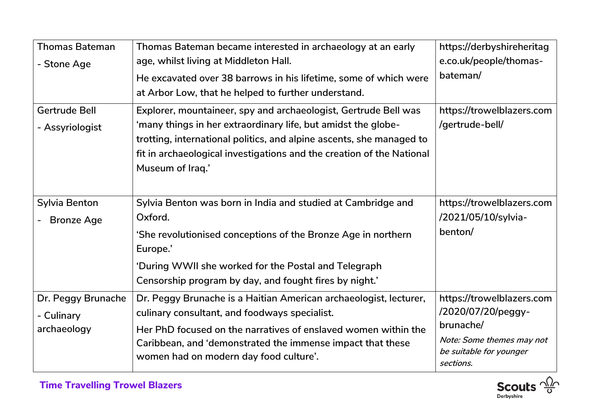| <b>Thomas Bateman</b><br>- Stone Age            | Thomas Bateman became interested in archaeology at an early<br>age, whilst living at Middleton Hall.<br>He excavated over 38 barrows in his lifetime, some of which were<br>at Arbor Low, that he helped to further understand.                                                                       | https://derbyshireheritag<br>e.co.uk/people/thomas-<br>bateman/                                                                   |
|-------------------------------------------------|-------------------------------------------------------------------------------------------------------------------------------------------------------------------------------------------------------------------------------------------------------------------------------------------------------|-----------------------------------------------------------------------------------------------------------------------------------|
| <b>Gertrude Bell</b><br>- Assyriologist         | Explorer, mountaineer, spy and archaeologist, Gertrude Bell was<br>'many things in her extraordinary life, but amidst the globe-<br>trotting, international politics, and alpine ascents, she managed to<br>fit in archaeological investigations and the creation of the National<br>Museum of Iraq.' | https://trowelblazers.com<br>/gertrude-bell/                                                                                      |
| <b>Sylvia Benton</b><br><b>Bronze Age</b>       | Sylvia Benton was born in India and studied at Cambridge and<br>Oxford.<br>'She revolutionised conceptions of the Bronze Age in northern<br>Europe.'<br>'During WWII she worked for the Postal and Telegraph<br>Censorship program by day, and fought fires by night.'                                | https://trowelblazers.com<br>/2021/05/10/sylvia-<br>benton/                                                                       |
| Dr. Peggy Brunache<br>- Culinary<br>archaeology | Dr. Peggy Brunache is a Haitian American archaeologist, lecturer,<br>culinary consultant, and foodways specialist.<br>Her PhD focused on the narratives of enslaved women within the<br>Caribbean, and 'demonstrated the immense impact that these<br>women had on modern day food culture'.          | https://trowelblazers.com<br>/2020/07/20/peggy-<br>brunache/<br>Note: Some themes may not<br>be suitable for younger<br>sections. |

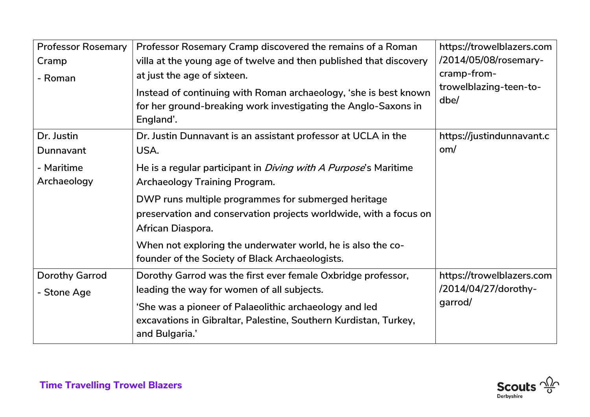| <b>Professor Rosemary</b> | Professor Rosemary Cramp discovered the remains of a Roman                                                                                      | https://trowelblazers.com      |
|---------------------------|-------------------------------------------------------------------------------------------------------------------------------------------------|--------------------------------|
| Cramp                     | villa at the young age of twelve and then published that discovery                                                                              | /2014/05/08/rosemary-          |
| - Roman                   | at just the age of sixteen.                                                                                                                     | cramp-from-                    |
|                           | Instead of continuing with Roman archaeology, 'she is best known<br>for her ground-breaking work investigating the Anglo-Saxons in<br>England'. | trowelblazing-teen-to-<br>dbe/ |
| Dr. Justin                | Dr. Justin Dunnavant is an assistant professor at UCLA in the                                                                                   | https://justindunnavant.c      |
| Dunnavant                 | USA.                                                                                                                                            | om/                            |
| - Maritime                | He is a regular participant in <i>Diving with A Purpose's</i> Maritime                                                                          |                                |
| Archaeology               | <b>Archaeology Training Program.</b>                                                                                                            |                                |
|                           | DWP runs multiple programmes for submerged heritage                                                                                             |                                |
|                           | preservation and conservation projects worldwide, with a focus on                                                                               |                                |
|                           | African Diaspora.                                                                                                                               |                                |
|                           | When not exploring the underwater world, he is also the co-<br>founder of the Society of Black Archaeologists.                                  |                                |
| <b>Dorothy Garrod</b>     | Dorothy Garrod was the first ever female Oxbridge professor,                                                                                    | https://trowelblazers.com      |
| - Stone Age               | leading the way for women of all subjects.                                                                                                      | /2014/04/27/dorothy-           |
|                           | 'She was a pioneer of Palaeolithic archaeology and led                                                                                          | garrod/                        |
|                           | excavations in Gibraltar, Palestine, Southern Kurdistan, Turkey,<br>and Bulgaria.'                                                              |                                |

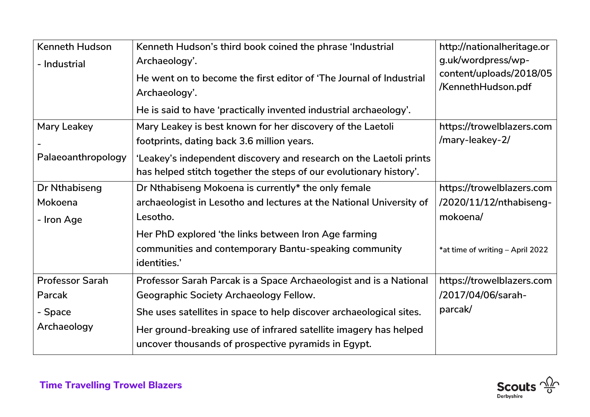| <b>Kenneth Hudson</b>  | Kenneth Hudson's third book coined the phrase 'Industrial           | http://nationalheritage.or       |
|------------------------|---------------------------------------------------------------------|----------------------------------|
| - Industrial           | Archaeology'.                                                       | g.uk/wordpress/wp-               |
|                        | He went on to become the first editor of 'The Journal of Industrial | content/uploads/2018/05          |
|                        | Archaeology'.                                                       | /KennethHudson.pdf               |
|                        | He is said to have 'practically invented industrial archaeology'.   |                                  |
| Mary Leakey            | Mary Leakey is best known for her discovery of the Laetoli          | https://trowelblazers.com        |
|                        | footprints, dating back 3.6 million years.                          | /mary-leakey-2/                  |
| Palaeoanthropology     | 'Leakey's independent discovery and research on the Laetoli prints  |                                  |
|                        | has helped stitch together the steps of our evolutionary history'.  |                                  |
| Dr Nthabiseng          | Dr Nthabiseng Mokoena is currently* the only female                 | https://trowelblazers.com        |
| Mokoena                | archaeologist in Lesotho and lectures at the National University of | /2020/11/12/nthabiseng-          |
| - Iron Age             | Lesotho.                                                            | mokoena/                         |
|                        | Her PhD explored 'the links between Iron Age farming                |                                  |
|                        | communities and contemporary Bantu-speaking community               | *at time of writing - April 2022 |
|                        | identities.'                                                        |                                  |
| <b>Professor Sarah</b> | Professor Sarah Parcak is a Space Archaeologist and is a National   | https://trowelblazers.com        |
| Parcak                 | <b>Geographic Society Archaeology Fellow.</b>                       | /2017/04/06/sarah-               |
| - Space                | She uses satellites in space to help discover archaeological sites. | parcak/                          |
| Archaeology            | Her ground-breaking use of infrared satellite imagery has helped    |                                  |
|                        | uncover thousands of prospective pyramids in Egypt.                 |                                  |
|                        |                                                                     |                                  |